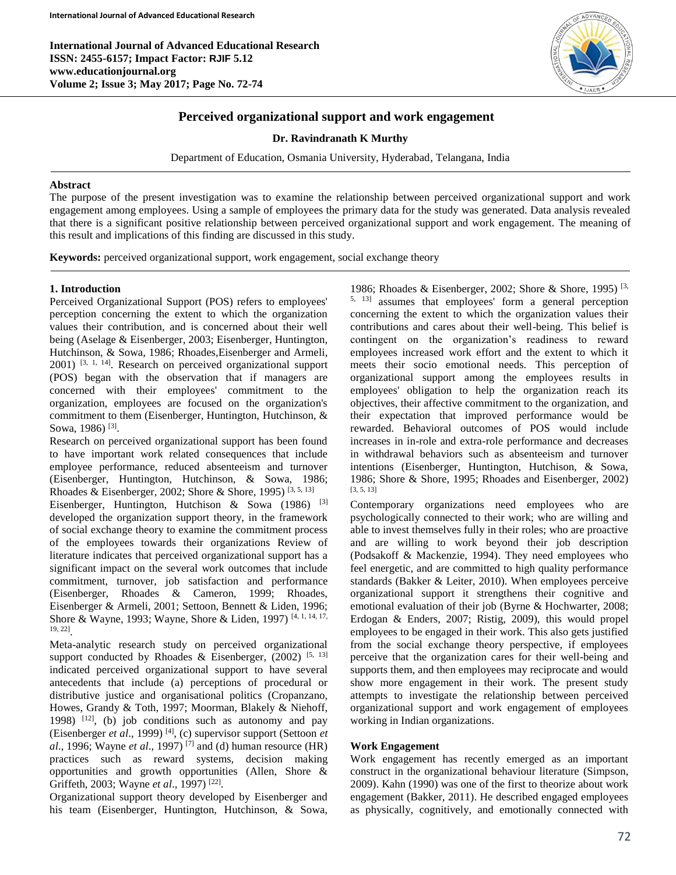**International Journal of Advanced Educational Research ISSN: 2455-6157; Impact Factor: RJIF 5.12 www.educationjournal.org Volume 2; Issue 3; May 2017; Page No. 72-74**



# **Perceived organizational support and work engagement**

**Dr. Ravindranath K Murthy**

Department of Education, Osmania University, Hyderabad, Telangana, India

#### **Abstract**

The purpose of the present investigation was to examine the relationship between perceived organizational support and work engagement among employees. Using a sample of employees the primary data for the study was generated. Data analysis revealed that there is a significant positive relationship between perceived organizational support and work engagement. The meaning of this result and implications of this finding are discussed in this study.

**Keywords:** perceived organizational support, work engagement, social exchange theory

## **1. Introduction**

Ī

Perceived Organizational Support (POS) refers to employees' perception concerning the extent to which the organization values their contribution, and is concerned about their well being (Aselage & Eisenberger, 2003; Eisenberger, Huntington, Hutchinson, & Sowa, 1986; Rhoades,Eisenberger and Armeli,  $2001$ ) <sup>[3, 1, 14]</sup>. Research on perceived organizational support (POS) began with the observation that if managers are concerned with their employees' commitment to the organization, employees are focused on the organization's commitment to them (Eisenberger, Huntington, Hutchinson, & Sowa, 1986)<sup>[3]</sup>.

Research on perceived organizational support has been found to have important work related consequences that include employee performance, reduced absenteeism and turnover (Eisenberger, Huntington, Hutchinson, & Sowa, 1986; Rhoades & Eisenberger, 2002; Shore & Shore, 1995)  $[3, 5, 13]$ Eisenberger, Huntington, Hutchison & Sowa (1986) <sup>[3]</sup> developed the organization support theory, in the framework of social exchange theory to examine the commitment process of the employees towards their organizations Review of literature indicates that perceived organizational support has a significant impact on the several work outcomes that include commitment, turnover, job satisfaction and performance (Eisenberger, Rhoades & Cameron, 1999; Rhoades, Eisenberger & Armeli, 2001; Settoon, Bennett & Liden, 1996; Shore & Wayne, 1993; Wayne, Shore & Liden, 1997) [4, 1, 14, 17, 19, 22] .

Meta-analytic research study on perceived organizational support conducted by Rhoades & Eisenberger,  $(2002)$ <sup>[5, 13]</sup> indicated perceived organizational support to have several antecedents that include (a) perceptions of procedural or distributive justice and organisational politics (Cropanzano, Howes, Grandy & Toth, 1997; Moorman, Blakely & Niehoff, 1998)  $[12]$ , (b) job conditions such as autonomy and pay (Eisenberger *et al*., 1999) [4], (c) supervisor support (Settoon *et al*., 1996; Wayne *et al*., 1997) [7] and (d) human resource (HR) practices such as reward systems, decision making opportunities and growth opportunities (Allen, Shore & Griffeth, 2003; Wayne *et al.*, 1997)<sup>[22]</sup>.

Organizational support theory developed by Eisenberger and his team (Eisenberger, Huntington, Hutchinson, & Sowa,

1986; Rhoades & Eisenberger, 2002; Shore & Shore, 1995)<sup>[3,]</sup> 5, 13] assumes that employees' form a general perception concerning the extent to which the organization values their contributions and cares about their well-being. This belief is contingent on the organization's readiness to reward employees increased work effort and the extent to which it meets their socio emotional needs. This perception of organizational support among the employees results in employees' obligation to help the organization reach its objectives, their affective commitment to the organization, and their expectation that improved performance would be rewarded. Behavioral outcomes of POS would include increases in in-role and extra-role performance and decreases in withdrawal behaviors such as absenteeism and turnover intentions (Eisenberger, Huntington, Hutchison, & Sowa, 1986; Shore & Shore, 1995; Rhoades and Eisenberger, 2002) [3, 5, 13]

Contemporary organizations need employees who are psychologically connected to their work; who are willing and able to invest themselves fully in their roles; who are proactive and are willing to work beyond their job description (Podsakoff & Mackenzie, 1994). They need employees who feel energetic, and are committed to high quality performance standards (Bakker & Leiter, 2010). When employees perceive organizational support it strengthens their cognitive and emotional evaluation of their job (Byrne & Hochwarter, 2008; Erdogan & Enders, 2007; Ristig, 2009), this would propel employees to be engaged in their work. This also gets justified from the social exchange theory perspective, if employees perceive that the organization cares for their well-being and supports them, and then employees may reciprocate and would show more engagement in their work. The present study attempts to investigate the relationship between perceived organizational support and work engagement of employees working in Indian organizations.

## **Work Engagement**

Work engagement has recently emerged as an important construct in the organizational behaviour literature (Simpson, 2009). Kahn (1990) was one of the first to theorize about work engagement (Bakker, 2011). He described engaged employees as physically, cognitively, and emotionally connected with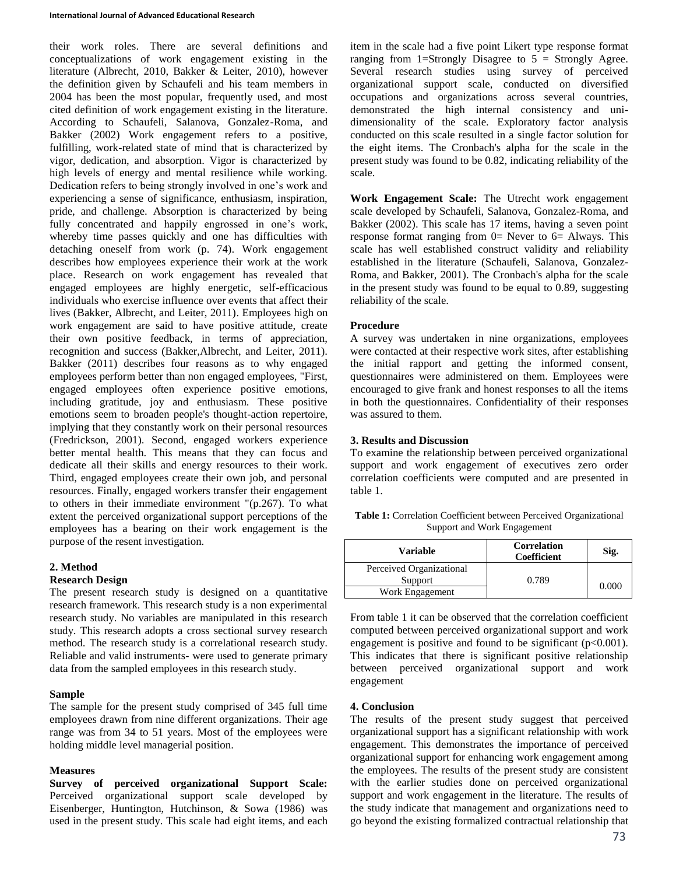their work roles. There are several definitions and conceptualizations of work engagement existing in the literature (Albrecht, 2010, Bakker & Leiter, 2010), however the definition given by Schaufeli and his team members in 2004 has been the most popular, frequently used, and most cited definition of work engagement existing in the literature. According to Schaufeli, Salanova, Gonzalez-Roma, and Bakker (2002) Work engagement refers to a positive, fulfilling, work-related state of mind that is characterized by vigor, dedication, and absorption. Vigor is characterized by high levels of energy and mental resilience while working. Dedication refers to being strongly involved in one's work and experiencing a sense of significance, enthusiasm, inspiration, pride, and challenge. Absorption is characterized by being fully concentrated and happily engrossed in one's work, whereby time passes quickly and one has difficulties with detaching oneself from work (p. 74). Work engagement describes how employees experience their work at the work place. Research on work engagement has revealed that engaged employees are highly energetic, self-efficacious individuals who exercise influence over events that affect their lives (Bakker, Albrecht, and Leiter, 2011). Employees high on work engagement are said to have positive attitude, create their own positive feedback, in terms of appreciation, recognition and success (Bakker,Albrecht, and Leiter, 2011). Bakker (2011) describes four reasons as to why engaged employees perform better than non engaged employees, "First, engaged employees often experience positive emotions, including gratitude, joy and enthusiasm. These positive emotions seem to broaden people's thought-action repertoire, implying that they constantly work on their personal resources (Fredrickson, 2001). Second, engaged workers experience better mental health. This means that they can focus and dedicate all their skills and energy resources to their work. Third, engaged employees create their own job, and personal resources. Finally, engaged workers transfer their engagement to others in their immediate environment "(p.267). To what extent the perceived organizational support perceptions of the employees has a bearing on their work engagement is the purpose of the resent investigation.

## **2. Method**

#### **Research Design**

The present research study is designed on a quantitative research framework. This research study is a non experimental research study. No variables are manipulated in this research study. This research adopts a cross sectional survey research method. The research study is a correlational research study. Reliable and valid instruments- were used to generate primary data from the sampled employees in this research study.

#### **Sample**

The sample for the present study comprised of 345 full time employees drawn from nine different organizations. Their age range was from 34 to 51 years. Most of the employees were holding middle level managerial position.

## **Measures**

**Survey of perceived organizational Support Scale:** Perceived organizational support scale developed by Eisenberger, Huntington, Hutchinson, & Sowa (1986) was used in the present study. This scale had eight items, and each item in the scale had a five point Likert type response format ranging from 1=Strongly Disagree to  $5 =$  Strongly Agree. Several research studies using survey of perceived organizational support scale, conducted on diversified occupations and organizations across several countries, demonstrated the high internal consistency and unidimensionality of the scale. Exploratory factor analysis conducted on this scale resulted in a single factor solution for the eight items. The Cronbach's alpha for the scale in the present study was found to be 0.82, indicating reliability of the scale.

**Work Engagement Scale:** The Utrecht work engagement scale developed by Schaufeli, Salanova, Gonzalez-Roma, and Bakker (2002). This scale has 17 items, having a seven point response format ranging from  $0=$  Never to  $6=$  Always. This scale has well established construct validity and reliability established in the literature (Schaufeli, Salanova, Gonzalez-Roma, and Bakker, 2001). The Cronbach's alpha for the scale in the present study was found to be equal to 0.89, suggesting reliability of the scale.

## **Procedure**

A survey was undertaken in nine organizations, employees were contacted at their respective work sites, after establishing the initial rapport and getting the informed consent, questionnaires were administered on them. Employees were encouraged to give frank and honest responses to all the items in both the questionnaires. Confidentiality of their responses was assured to them.

## **3. Results and Discussion**

To examine the relationship between perceived organizational support and work engagement of executives zero order correlation coefficients were computed and are presented in table 1.

**Table 1:** Correlation Coefficient between Perceived Organizational Support and Work Engagement

| Variable                 | Correlation<br>Coefficient | Sig.  |
|--------------------------|----------------------------|-------|
| Perceived Organizational |                            |       |
| Support                  | 0.789                      | 0.000 |
| Work Engagement          |                            |       |

From table 1 it can be observed that the correlation coefficient computed between perceived organizational support and work engagement is positive and found to be significant  $(p<0.001)$ . This indicates that there is significant positive relationship between perceived organizational support and work engagement

## **4. Conclusion**

The results of the present study suggest that perceived organizational support has a significant relationship with work engagement. This demonstrates the importance of perceived organizational support for enhancing work engagement among the employees. The results of the present study are consistent with the earlier studies done on perceived organizational support and work engagement in the literature. The results of the study indicate that management and organizations need to go beyond the existing formalized contractual relationship that